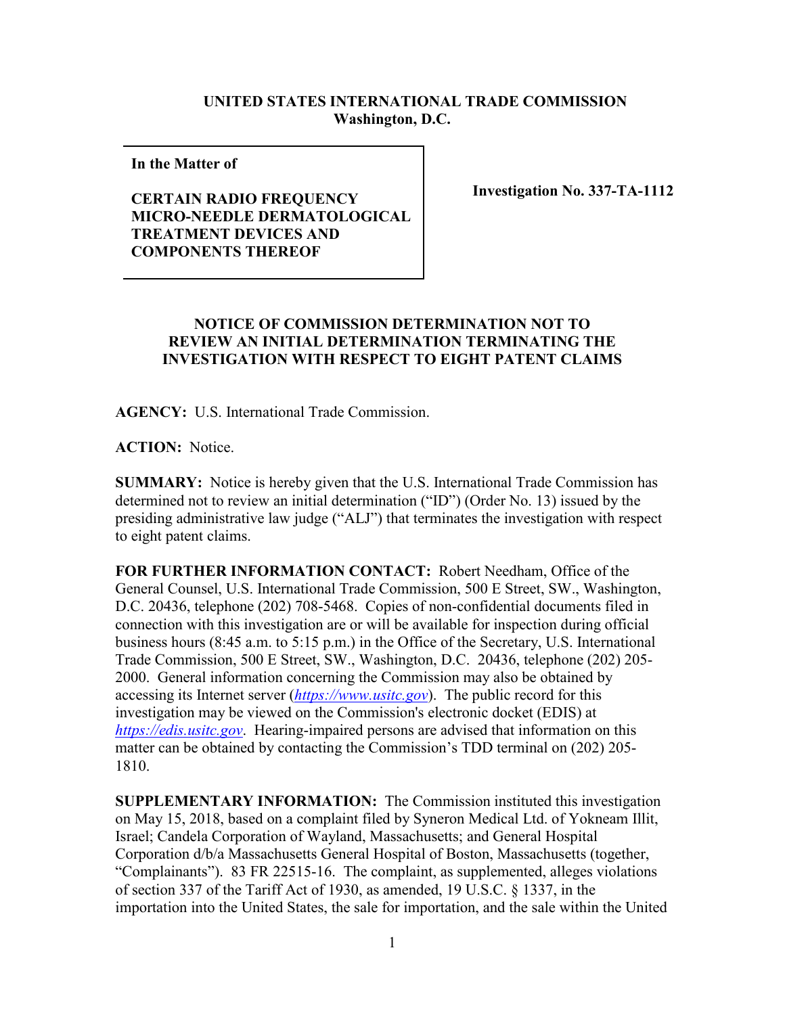## **UNITED STATES INTERNATIONAL TRADE COMMISSION Washington, D.C.**

**In the Matter of** 

## **CERTAIN RADIO FREQUENCY MICRO-NEEDLE DERMATOLOGICAL TREATMENT DEVICES AND COMPONENTS THEREOF**

**Investigation No. 337-TA-1112**

## **NOTICE OF COMMISSION DETERMINATION NOT TO REVIEW AN INITIAL DETERMINATION TERMINATING THE INVESTIGATION WITH RESPECT TO EIGHT PATENT CLAIMS**

**AGENCY:** U.S. International Trade Commission.

**ACTION:** Notice.

**SUMMARY:** Notice is hereby given that the U.S. International Trade Commission has determined not to review an initial determination ("ID") (Order No. 13) issued by the presiding administrative law judge ("ALJ") that terminates the investigation with respect to eight patent claims.

**FOR FURTHER INFORMATION CONTACT:** Robert Needham, Office of the General Counsel, U.S. International Trade Commission, 500 E Street, SW., Washington, D.C. 20436, telephone (202) 708-5468. Copies of non-confidential documents filed in connection with this investigation are or will be available for inspection during official business hours (8:45 a.m. to 5:15 p.m.) in the Office of the Secretary, U.S. International Trade Commission, 500 E Street, SW., Washington, D.C. 20436, telephone (202) 205- 2000. General information concerning the Commission may also be obtained by accessing its Internet server (*[https://www.usitc.gov](https://www.usitc.gov/)*). The public record for this investigation may be viewed on the Commission's electronic docket (EDIS) at *[https://edis.usitc.gov](https://edis.usitc.gov/)*. Hearing-impaired persons are advised that information on this matter can be obtained by contacting the Commission's TDD terminal on (202) 205- 1810.

**SUPPLEMENTARY INFORMATION:** The Commission instituted this investigation on May 15, 2018, based on a complaint filed by Syneron Medical Ltd. of Yokneam Illit, Israel; Candela Corporation of Wayland, Massachusetts; and General Hospital Corporation d/b/a Massachusetts General Hospital of Boston, Massachusetts (together, "Complainants"). 83 FR 22515-16. The complaint, as supplemented, alleges violations of section 337 of the Tariff Act of 1930, as amended, 19 U.S.C. § 1337, in the importation into the United States, the sale for importation, and the sale within the United